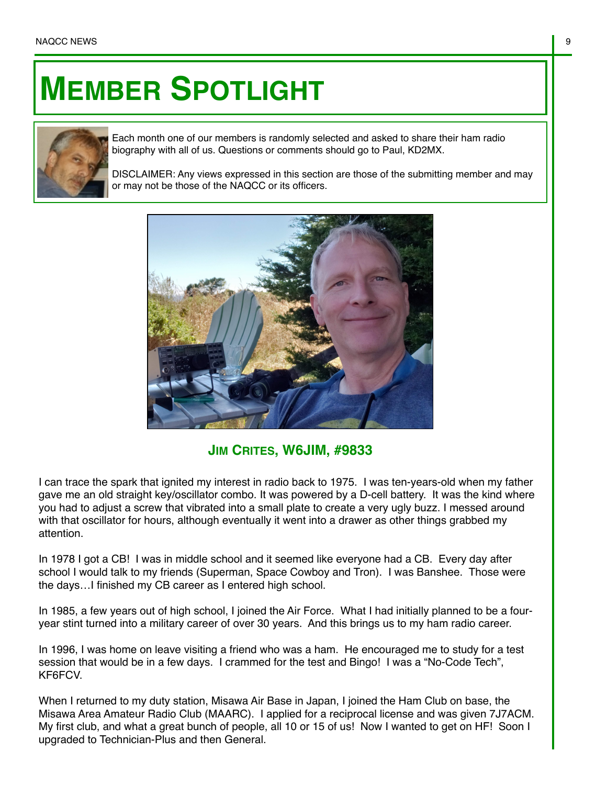## **MEMBER SPOTLIGHT**



Each month one of our members is randomly selected and asked to share their ham radio biography with all of us. Questions or comments should go to Paul, KD2MX.

DISCLAIMER: Any views expressed in this section are those of the submitting member and may or may not be those of the NAQCC or its officers.



## **JIM CRITES, W6JIM, #9833**

I can trace the spark that ignited my interest in radio back to 1975. I was ten-years-old when my father gave me an old straight key/oscillator combo. It was powered by a D-cell battery. It was the kind where you had to adjust a screw that vibrated into a small plate to create a very ugly buzz. I messed around with that oscillator for hours, although eventually it went into a drawer as other things grabbed my attention.

In 1978 I got a CB! I was in middle school and it seemed like everyone had a CB. Every day after school I would talk to my friends (Superman, Space Cowboy and Tron). I was Banshee. Those were the days…I finished my CB career as I entered high school.

In 1985, a few years out of high school, I joined the Air Force. What I had initially planned to be a fouryear stint turned into a military career of over 30 years. And this brings us to my ham radio career.

In 1996, I was home on leave visiting a friend who was a ham. He encouraged me to study for a test session that would be in a few days. I crammed for the test and Bingo! I was a "No-Code Tech", KF6FCV.

When I returned to my duty station, Misawa Air Base in Japan, I joined the Ham Club on base, the Misawa Area Amateur Radio Club (MAARC). I applied for a reciprocal license and was given 7J7ACM. My first club, and what a great bunch of people, all 10 or 15 of us! Now I wanted to get on HF! Soon I upgraded to Technician-Plus and then General.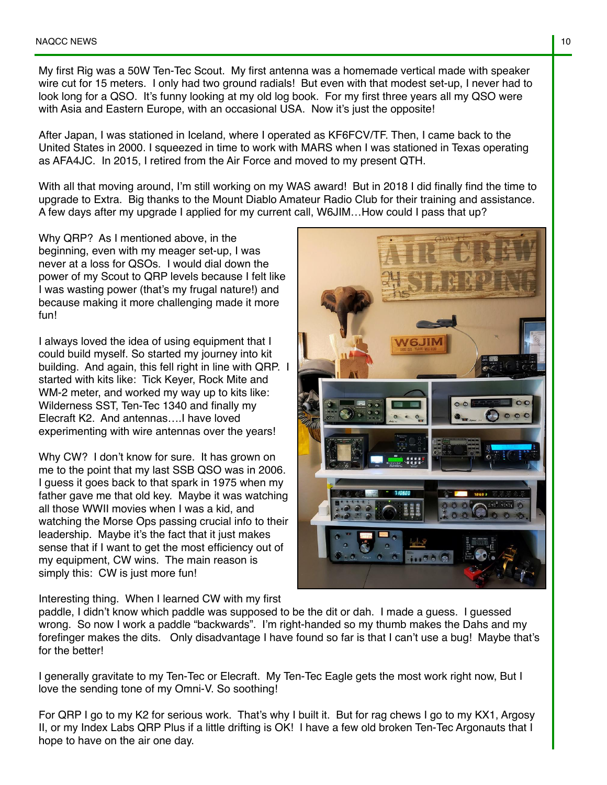My first Rig was a 50W Ten-Tec Scout. My first antenna was a homemade vertical made with speaker wire cut for 15 meters. I only had two ground radials! But even with that modest set-up, I never had to look long for a QSO. It's funny looking at my old log book. For my first three years all my QSO were with Asia and Eastern Europe, with an occasional USA. Now it's just the opposite!

After Japan, I was stationed in Iceland, where I operated as KF6FCV/TF. Then, I came back to the United States in 2000. I squeezed in time to work with MARS when I was stationed in Texas operating as AFA4JC. In 2015, I retired from the Air Force and moved to my present QTH.

With all that moving around, I'm still working on my WAS award! But in 2018 I did finally find the time to upgrade to Extra. Big thanks to the Mount Diablo Amateur Radio Club for their training and assistance. A few days after my upgrade I applied for my current call, W6JIM…How could I pass that up?

Why QRP? As I mentioned above, in the beginning, even with my meager set-up, I was never at a loss for QSOs. I would dial down the power of my Scout to QRP levels because I felt like I was wasting power (that's my frugal nature!) and because making it more challenging made it more fun!

I always loved the idea of using equipment that I could build myself. So started my journey into kit building. And again, this fell right in line with QRP. I started with kits like: Tick Keyer, Rock Mite and WM-2 meter, and worked my way up to kits like: Wilderness SST, Ten-Tec 1340 and finally my Elecraft K2. And antennas….I have loved experimenting with wire antennas over the years!

Why CW? I don't know for sure. It has grown on me to the point that my last SSB QSO was in 2006. I guess it goes back to that spark in 1975 when my father gave me that old key. Maybe it was watching all those WWII movies when I was a kid, and watching the Morse Ops passing crucial info to their leadership. Maybe it's the fact that it just makes sense that if I want to get the most efficiency out of my equipment, CW wins. The main reason is simply this: CW is just more fun!

Interesting thing. When I learned CW with my first

paddle, I didn't know which paddle was supposed to be the dit or dah. I made a guess. I guessed wrong. So now I work a paddle "backwards". I'm right-handed so my thumb makes the Dahs and my forefinger makes the dits. Only disadvantage I have found so far is that I can't use a bug! Maybe that's for the better!

I generally gravitate to my Ten-Tec or Elecraft. My Ten-Tec Eagle gets the most work right now, But I love the sending tone of my Omni-V. So soothing!

For QRP I go to my K2 for serious work. That's why I built it. But for rag chews I go to my KX1, Argosy II, or my Index Labs QRP Plus if a little drifting is OK! I have a few old broken Ten-Tec Argonauts that I hope to have on the air one day.